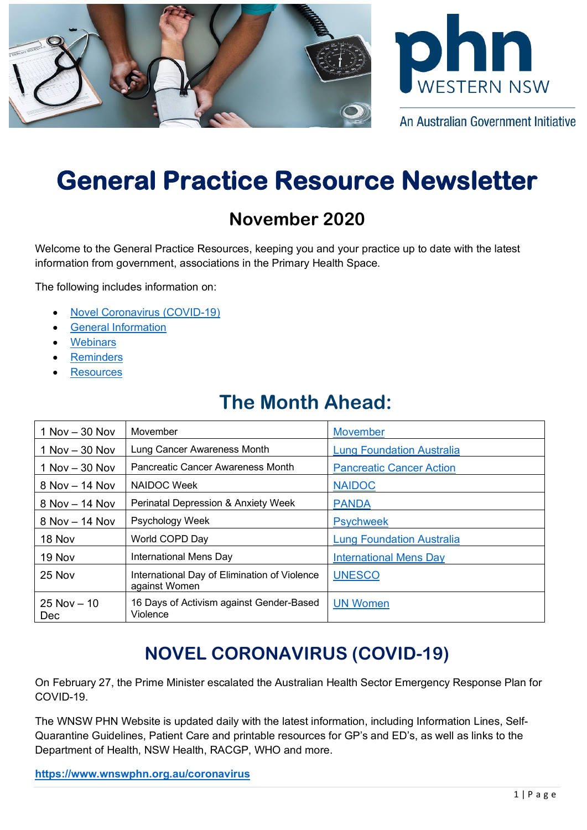



An Australian Government Initiative

# **General Practice Resource Newsletter**

### **November 2020**

Welcome to the General Practice Resources, keeping you and your practice up to date with the latest information from government, associations in the Primary Health Space.

The following includes information on:

- [Novel Coronavirus \(COVID-19\)](#page-0-0)
- [General Information](#page-1-0)
- **[Webinars](#page-3-0)**
- **[Reminders](#page-4-0)**
- **[Resources](#page-4-1)**

# **The Month Ahead:**

| $1$ Nov $-$ 30 Nov    | Movember                                                      | <b>Movember</b>                  |
|-----------------------|---------------------------------------------------------------|----------------------------------|
| $1$ Nov $-$ 30 Nov    | Lung Cancer Awareness Month                                   | <b>Lung Foundation Australia</b> |
| $1$ Nov $-$ 30 Nov    | Pancreatic Cancer Awareness Month                             | <b>Pancreatic Cancer Action</b>  |
| $8$ Nov $-$ 14 Nov    | NAIDOC Week                                                   | <b>NAIDOC</b>                    |
| $8$ Nov $-$ 14 Nov    | <b>Perinatal Depression &amp; Anxiety Week</b>                | <b>PANDA</b>                     |
| 8 Nov - 14 Nov        | Psychology Week                                               | <b>Psychweek</b>                 |
| 18 Nov                | World COPD Day                                                | <b>Lung Foundation Australia</b> |
| 19 Nov                | International Mens Day                                        | <b>International Mens Day</b>    |
| $25$ Nov              | International Day of Elimination of Violence<br>against Women | <b>UNESCO</b>                    |
| $25$ Nov $-10$<br>Dec | 16 Days of Activism against Gender-Based<br>Violence          | <b>UN Women</b>                  |

# **NOVEL CORONAVIRUS (COVID-19)**

<span id="page-0-0"></span>On February 27, the Prime Minister escalated the Australian Health Sector Emergency Response Plan for COVID-19.

The WNSW PHN Website is updated daily with the latest information, including Information Lines, Self-Quarantine Guidelines, Patient Care and printable resources for GP's and ED's, as well as links to the Department of Health, NSW Health, RACGP, WHO and more.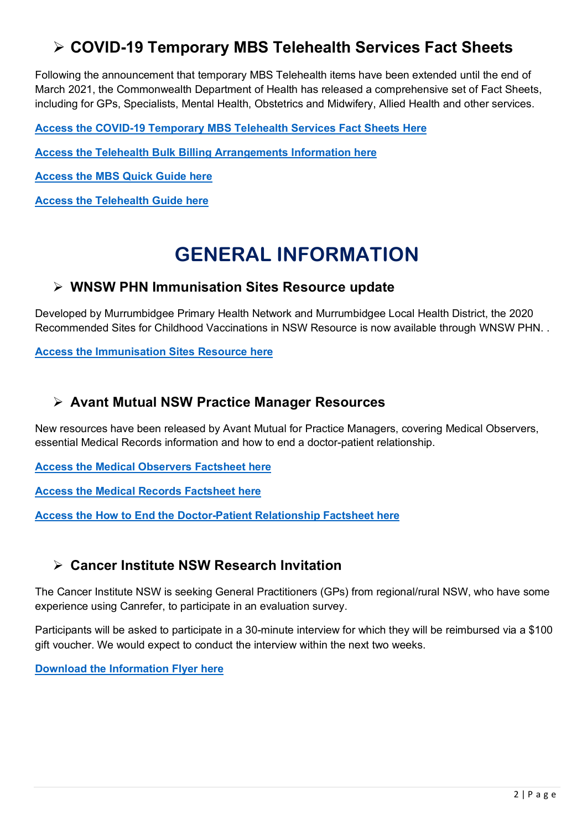### **COVID-19 Temporary MBS Telehealth Services Fact Sheets**

Following the announcement that temporary MBS Telehealth items have been extended until the end of March 2021, the Commonwealth Department of Health has released a comprehensive set of Fact Sheets, including for GPs, Specialists, Mental Health, Obstetrics and Midwifery, Allied Health and other services.

**[Access the COVID-19 Temporary MBS Telehealth Services Fact Sheets Here](https://aapm.memnet.com.au/memberselfservice/DistributionTracking/TrackLinks.aspx?href=http%253A%252F%252Fwww.mbsonline.gov.au%252Finternet%252Fmbsonline%252Fpublishing.nsf%252FContent%252FFactsheet-TempBB&record=63655172-49de-404d-94fd-0ca9145584db)**

**[Access the Telehealth Bulk Billing Arrangements Information here](https://aapm.memnet.com.au/memberselfservice/DistributionTracking/TrackLinks.aspx?href=http%253A%252F%252Fwww.mbsonline.gov.au%252Finternet%252Fmbsonline%252Fpublishing.nsf%252FContent%252FFactsheet-TempBB&record=db7e4cc7-eeb3-4512-8cc5-70995bf190a3)**

**[Access the MBS Quick Guide here](https://www.wnswphn.org.au/uploads/documents/Resources/Coronavirus/mbs_quick_guide-sept20.pdf)**

**[Access the Telehealth Guide here](https://www.wnswphn.org.au/uploads/documents/Resources/Coronavirus/telehealth-guide-sep20.pdf)**

# **GENERAL INFORMATION**

#### <span id="page-1-0"></span>**WNSW PHN Immunisation Sites Resource update**

Developed by Murrumbidgee Primary Health Network and Murrumbidgee Local Health District, the 2020 Recommended Sites for Childhood Vaccinations in NSW Resource is now available through WNSW PHN. .

**[Access the Immunisation Sites Resource here](https://www.wnswphn.org.au/uploads/documents/Resources/GP%20Resources/ImmunisationPosterA3_30092020.pdf)**

#### **Avant Mutual NSW Practice Manager Resources**

New resources have been released by Avant Mutual for Practice Managers, covering Medical Observers, essential Medical Records information and how to end a doctor-patient relationship.

**[Access the Medical Observers Factsheet here](https://www.wnswphn.org.au/uploads/documents/Resources/GP%20Resources/Observers%20chaperone%20protect%20and%20reassure_Avant-factsheet.pdf)**

**[Access the Medical Records Factsheet here](https://www.wnswphn.org.au/uploads/documents/Resources/GP%20Resources/Medical%20records%20the%20essentials_Avant-factsheet.pdf)**

**[Access the How to End the Doctor-Patient Relationship Factsheet here](https://www.wnswphn.org.au/uploads/documents/Resources/GP%20Resources/How%20to%20end%20the%20doctor-patient%20relationship_Avant-factsheet.pdf)**

#### **Cancer Institute NSW Research Invitation**

The Cancer Institute NSW is seeking General Practitioners (GPs) from regional/rural NSW, who have some experience using Canrefer, to participate in an evaluation survey.

Participants will be asked to participate in a 30-minute interview for which they will be reimbursed via a \$100 gift voucher. We would expect to conduct the interview within the next two weeks.

**[Download the Information Flyer here](https://www.wnswphn.org.au/uploads/documents/Resources/GP%20Resources/Case%20Study-%20Participant%20Information%20Sheet.pdf)**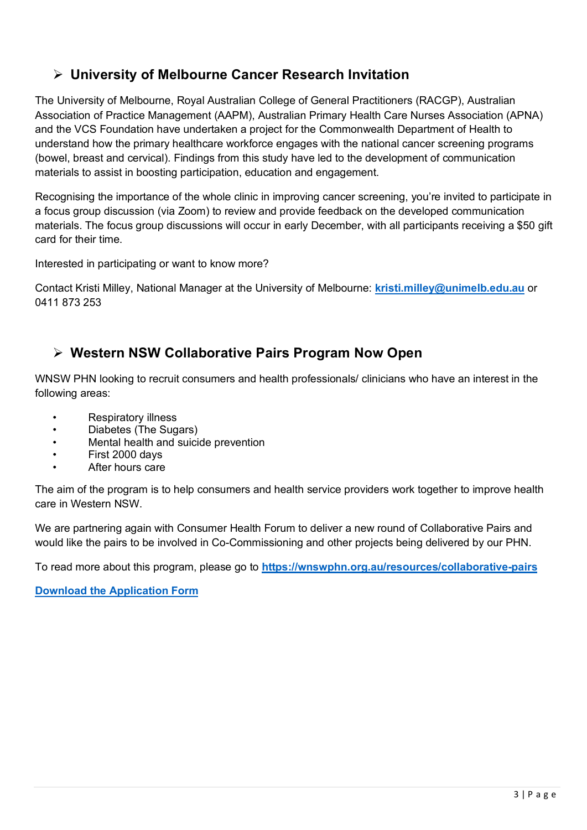#### **University of Melbourne Cancer Research Invitation**

The University of Melbourne, Royal Australian College of General Practitioners (RACGP), Australian Association of Practice Management (AAPM), Australian Primary Health Care Nurses Association (APNA) and the VCS Foundation have undertaken a project for the Commonwealth Department of Health to understand how the primary healthcare workforce engages with the national cancer screening programs (bowel, breast and cervical). Findings from this study have led to the development of communication materials to assist in boosting participation, education and engagement.

Recognising the importance of the whole clinic in improving cancer screening, you're invited to participate in a focus group discussion (via Zoom) to review and provide feedback on the developed communication materials. The focus group discussions will occur in early December, with all participants receiving a \$50 gift card for their time.

Interested in participating or want to know more?

Contact Kristi Milley, National Manager at the University of Melbourne: **[kristi.milley@unimelb.edu.au](mailto:kristi.milley@unimelb.edu.au)** or 0411 873 253

#### **Western NSW Collaborative Pairs Program Now Open**

WNSW PHN looking to recruit consumers and health professionals/ clinicians who have an interest in the following areas:

- Respiratory illness
- Diabetes (The Sugars)
- Mental health and suicide prevention
- First 2000 days
- After hours care

The aim of the program is to help consumers and health service providers work together to improve health care in Western NSW.

We are partnering again with Consumer Health Forum to deliver a new round of Collaborative Pairs and would like the pairs to be involved in Co-Commissioning and other projects being delivered by our PHN.

To read more about this program, please go to **<https://wnswphn.org.au/resources/collaborative-pairs>**

**[Download the Application Form](https://chf.org.au/western-nsw-phn-collaborative-pairs-program-application-form)**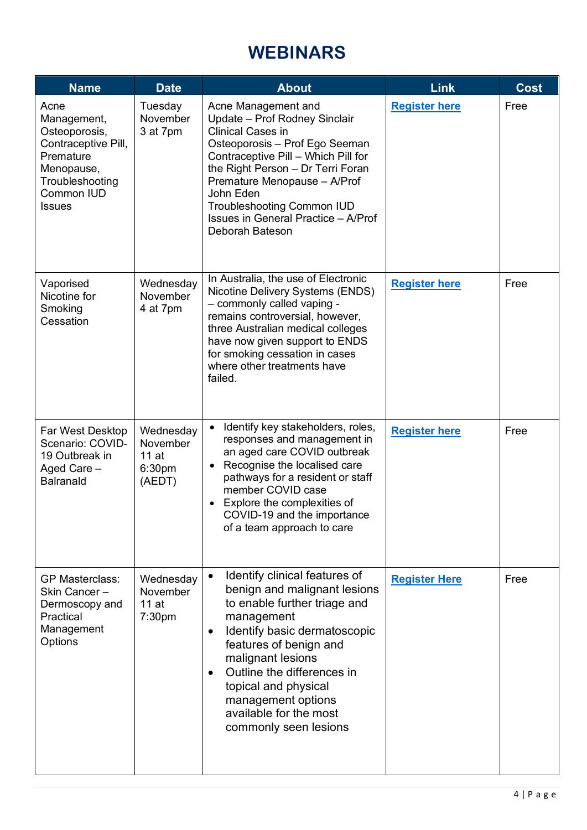# **WEBINARS**

<span id="page-3-0"></span>

| <b>Name</b>                                                                                                                                     | <b>Date</b>                                       | <b>About</b>                                                                                                                                                                                                                                                                                                                                        | <b>Link</b>          | Cost |
|-------------------------------------------------------------------------------------------------------------------------------------------------|---------------------------------------------------|-----------------------------------------------------------------------------------------------------------------------------------------------------------------------------------------------------------------------------------------------------------------------------------------------------------------------------------------------------|----------------------|------|
| Acne<br>Management,<br>Osteoporosis,<br>Contraceptive Pill,<br>Premature<br>Menopause,<br>Troubleshooting<br><b>Common IUD</b><br><b>Issues</b> | Tuesday<br>November<br>3 at 7pm                   | Acne Management and<br>Update - Prof Rodney Sinclair<br><b>Clinical Cases in</b><br>Osteoporosis - Prof Ego Seeman<br>Contraceptive Pill - Which Pill for<br>the Right Person - Dr Terri Foran<br>Premature Menopause - A/Prof<br>John Eden<br><b>Troubleshooting Common IUD</b><br>Issues in General Practice - A/Prof<br>Deborah Bateson          | <b>Register here</b> | Free |
| Vaporised<br>Nicotine for<br>Smoking<br>Cessation                                                                                               | Wednesday<br>November<br>4 at 7pm                 | In Australia, the use of Electronic<br>Nicotine Delivery Systems (ENDS)<br>- commonly called vaping -<br>remains controversial, however,<br>three Australian medical colleges<br>have now given support to ENDS<br>for smoking cessation in cases<br>where other treatments have<br>failed.                                                         | <b>Register here</b> | Free |
| Far West Desktop<br>Scenario: COVID-<br>19 Outbreak in<br>Aged Care -<br><b>Balranald</b>                                                       | Wednesday<br>November<br>11at<br>6:30pm<br>(AEDT) | Identify key stakeholders, roles,<br>responses and management in<br>an aged care COVID outbreak<br>Recognise the localised care<br>pathways for a resident or staff<br>member COVID case<br>Explore the complexities of<br>COVID-19 and the importance<br>of a team approach to care                                                                | <b>Register here</b> | Free |
| <b>GP Masterclass:</b><br>Skin Cancer-<br>Dermoscopy and<br>Practical<br>Management<br>Options                                                  | Wednesday<br>November<br>11at<br>7:30pm           | Identify clinical features of<br>$\bullet$<br>benign and malignant lesions<br>to enable further triage and<br>management<br>Identify basic dermatoscopic<br>features of benign and<br>malignant lesions<br>Outline the differences in<br>$\bullet$<br>topical and physical<br>management options<br>available for the most<br>commonly seen lesions | <b>Register Here</b> | Free |